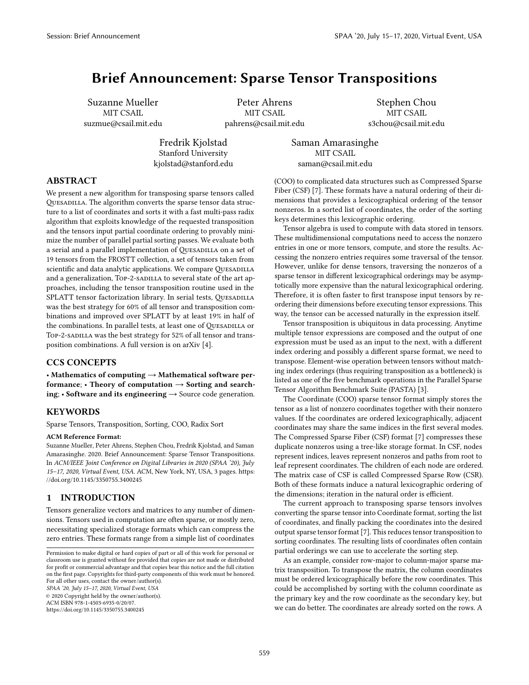# <span id="page-0-0"></span>Brief Announcement: Sparse Tensor Transpositions

Suzanne Mueller MIT CSAIL suzmue@csail.mit.edu

Peter Ahrens MIT CSAIL pahrens@csail.mit.edu

Stephen Chou MIT CSAIL s3chou@csail.mit.edu

Fredrik Kjolstad Stanford University kjolstad@stanford.edu Saman Amarasinghe MIT CSAIL saman@csail.mit.edu

## ABSTRACT

We present a new algorithm for transposing sparse tensors called QUESADILLA. The algorithm converts the sparse tensor data structure to a list of coordinates and sorts it with a fast multi-pass radix algorithm that exploits knowledge of the requested transposition and the tensors input partial coordinate ordering to provably minimize the number of parallel partial sorting passes. We evaluate both a serial and a parallel implementation of QUESADILLA on a set of 19 tensors from the FROSTT collection, a set of tensors taken from scientific and data analytic applications. We compare QUESADILLA and a generalization, Top-2-sadilla to several state of the art approaches, including the tensor transposition routine used in the SPLATT tensor factorization library. In serial tests, QUESADILLA was the best strategy for 60% of all tensor and transposition combinations and improved over SPLATT by at least 19% in half of the combinations. In parallel tests, at least one of QUESADILLA or Top-2-sadilla was the best strategy for 52% of all tensor and transposition combinations. A full version is on arXiv [\[4\]](#page-2-0).

## CCS CONCEPTS

• Mathematics of computing  $\rightarrow$  Mathematical software performance;  $\cdot$  Theory of computation  $\rightarrow$  Sorting and searching; • Software and its engineering  $\rightarrow$  Source code generation.

## KEYWORDS

Sparse Tensors, Transposition, Sorting, COO, Radix Sort

#### ACM Reference Format:

Suzanne Mueller, Peter Ahrens, Stephen Chou, Fredrik Kjolstad, and Saman Amarasinghe. 2020. Brief Announcement: Sparse Tensor Transpositions. In ACM/IEEE Joint Conference on Digital Libraries in 2020 (SPAA '20), July 15–17, 2020, Virtual Event, USA. ACM, New York, NY, USA, [3](#page-2-1) pages. [https:](https://doi.org/10.1145/3350755.3400245) [//doi.org/10.1145/3350755.3400245](https://doi.org/10.1145/3350755.3400245)

## 1 INTRODUCTION

Tensors generalize vectors and matrices to any number of dimensions. Tensors used in computation are often sparse, or mostly zero, necessitating specialized storage formats which can compress the zero entries. These formats range from a simple list of coordinates

SPAA '20, July 15–17, 2020, Virtual Event, USA

© 2020 Copyright held by the owner/author(s). ACM ISBN 978-1-4503-6935-0/20/07.

<https://doi.org/10.1145/3350755.3400245>

(COO) to complicated data structures such as Compressed Sparse Fiber (CSF) [\[7\]](#page-2-2). These formats have a natural ordering of their dimensions that provides a lexicographical ordering of the tensor nonzeros. In a sorted list of coordinates, the order of the sorting keys determines this lexicographic ordering.

Tensor algebra is used to compute with data stored in tensors. These multidimensional computations need to access the nonzero entries in one or more tensors, compute, and store the results. Accessing the nonzero entries requires some traversal of the tensor. However, unlike for dense tensors, traversing the nonzeros of a sparse tensor in different lexicographical orderings may be asymptotically more expensive than the natural lexicographical ordering. Therefore, it is often faster to first transpose input tensors by reordering their dimensions before executing tensor expressions. This way, the tensor can be accessed naturally in the expression itself.

Tensor transposition is ubiquitous in data processing. Anytime multiple tensor expressions are composed and the output of one expression must be used as an input to the next, with a different index ordering and possibly a different sparse format, we need to transpose. Element-wise operation between tensors without matching index orderings (thus requiring transposition as a bottleneck) is listed as one of the five benchmark operations in the Parallel Sparse Tensor Algorithm Benchmark Suite (PASTA) [\[3\]](#page-2-3).

The Coordinate (COO) sparse tensor format simply stores the tensor as a list of nonzero coordinates together with their nonzero values. If the coordinates are ordered lexicographically, adjacent coordinates may share the same indices in the first several modes. The Compressed Sparse Fiber (CSF) format [\[7\]](#page-2-2) compresses these duplicate nonzeros using a tree-like storage format. In CSF, nodes represent indices, leaves represent nonzeros and paths from root to leaf represent coordinates. The children of each node are ordered. The matrix case of CSF is called Compressed Sparse Row (CSR). Both of these formats induce a natural lexicographic ordering of the dimensions; iteration in the natural order is efficient.

The current approach to transposing sparse tensors involves converting the sparse tensor into Coordinate format, sorting the list of coordinates, and finally packing the coordinates into the desired output sparse tensor format [\[7\]](#page-2-2). This reduces tensor transposition to sorting coordinates. The resulting lists of coordinates often contain partial orderings we can use to accelerate the sorting step.

As an example, consider row-major to column-major sparse matrix transposition. To transpose the matrix, the column coordinates must be ordered lexicographically before the row coordinates. This could be accomplished by sorting with the column coordinate as the primary key and the row coordinate as the secondary key, but we can do better. The coordinates are already sorted on the rows. A

Permission to make digital or hard copies of part or all of this work for personal or classroom use is granted without fee provided that copies are not made or distributed for profit or commercial advantage and that copies bear this notice and the full citation on the first page. Copyrights for third-party components of this work must be honored. For all other uses, contact the owner/author(s).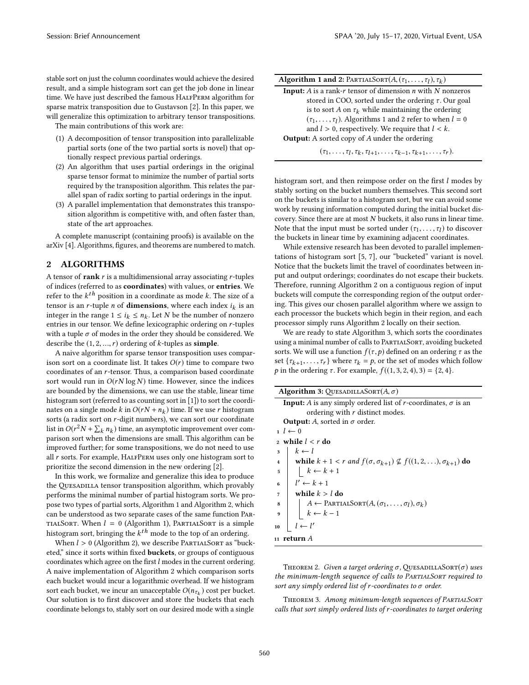stable sort on just the column coordinates would achieve the desired result, and a simple histogram sort can get the job done in linear time. We have just described the famous HALFPERM algorithm for sparse matrix transposition due to Gustavson [\[2\]](#page-2-4). In this paper, we will generalize this optimization to arbitrary tensor transpositions.

The main contributions of this work are:

- (1) A decomposition of tensor transposition into parallelizable partial sorts (one of the two partial sorts is novel) that optionally respect previous partial orderings.
- (2) An algorithm that uses partial orderings in the original sparse tensor format to minimize the number of partial sorts required by the transposition algorithm. This relates the parallel span of radix sorting to partial orderings in the input.
- (3) A parallel implementation that demonstrates this transposition algorithm is competitive with, and often faster than, state of the art approaches.

A complete manuscript (containing proofs) is available on the arXiv [\[4\]](#page-2-0). Algorithms, figures, and theorems are numbered to match.

### 2 ALGORITHMS

A tensor of rank  $r$  is a multidimensional array associating  $r$ -tuples of indices (referred to as coordinates) with values, or entries. We refer to the  $k^{th}$  position in a coordinate as mode k. The size of a<br>tensor is an r-tuple n of **dimensions**, where each index is is an tensor is an *r*-tuple *n* of **dimensions**, where each index  $i_k$  is an integer in the range  $1 \le i_k \le n$ . Let N be the number of nonzero integer in the range  $1 \le i_k \le n_k$ . Let N be the number of nonzero entries in our tensor We define lexicographic ordering on r-tuples entries in our tensor. We define lexicographic ordering on r-tuples with a tuple  $\sigma$  of modes in the order they should be considered. We describe the  $(1, 2, ..., r)$  ordering of k-tuples as **simple**.

A naive algorithm for sparse tensor transposition uses comparison sort on a coordinate list. It takes  $O(r)$  time to compare two coordinates of an r-tensor. Thus, a comparison based coordinate sort would run in  $O(rN \log N)$  time. However, since the indices are bounded by the dimensions, we can use the stable, linear time histogram sort (referred to as counting sort in [\[1\]](#page-2-5)) to sort the coordinates on a single mode  $k$  in  $O(rN + n_k)$  time. If we use r histogram<br>sorts (a radix sort on r-digit numbers), we can sort our coordinate sorts (a radix sort on r-digit numbers), we can sort our coordinate list in  $O(r^2 N + \sum_k n_k)$  time, an asymptotic improvement over com-<br>parison sort when the dimensions are small. This algorithm can be  $\frac{1}{2}$  parison sort when the dimensions are small. This algorithm can be improved further; for some transpositions, we do not need to use all  $r$  sorts. For example, HALFPERM uses only one histogram sort to prioritize the second dimension in the new ordering [\[2\]](#page-2-4).

In this work, we formalize and generalize this idea to produce the QUESADILLA tensor transposition algorithm, which provably performs the minimal number of partial histogram sorts. We propose two types of partial sorts, Algorithm [1](#page-0-0) and Algorithm [2,](#page-0-0) which can be understood as two separate cases of the same function Par-TIALSORT. When  $l = 0$  (Algorithm [1\)](#page-0-0), PARTIALSORT is a simple histogram sort, bringing the  $k^{th}$  mode to the top of an ordering.<br>When  $l > 0$  (Algorithm 2), we describe PARTIALSORT 28 "buo

When  $l > 0$  (Algorithm [2\)](#page-0-0), we describe PARTIALSORT as "bucketed," since it sorts within fixed buckets, or groups of contiguous coordinates which agree on the first  $l$  modes in the current ordering. A naive implementation of Algorithm [2](#page-0-0) which comparison sorts each bucket would incur a logarithmic overhead. If we histogram sort each bucket, we incur an unacceptable  $O(n_{\tau_k})$  cost per bucket.<br>Our solution is to first discover and store the buckets that each Our solution is to first discover and store the buckets that each coordinate belongs to, stably sort on our desired mode with a single

Algorithm 1 and 2: PARTIALSORT $(A, (\tau_1, ..., \tau_l), \tau_k)$ 

**Input:**  $A$  is a rank- $r$  tensor of dimension  $n$  with  $N$  nonzeros stored in COO, sorted under the ordering  $\tau$ . Our goal is to sort A on  $\tau_k$  while maintaining the ordering  $(\tau_1, \ldots, \tau_l)$ . Algorithms 1 and 2 refer to when  $l = 0$ <br>and  $l > 0$  respectively. We require that  $l < k$ and  $l > 0$ , respectively. We require that  $l < k$ . Output: A sorted copy of A under the ordering

 $(\tau_1, \ldots, \tau_l, \tau_k, \tau_{l+1}, \ldots, \tau_{k-1}, \tau_{k+1}, \ldots, \tau_r).$ 

histogram sort, and then reimpose order on the first  $l$  modes by stably sorting on the bucket numbers themselves. This second sort on the buckets is similar to a histogram sort, but we can avoid some work by reusing information computed during the initial bucket discovery. Since there are at most N buckets, it also runs in linear time. Note that the input must be sorted under  $(\tau_1, \ldots, \tau_l)$  to discover<br>the buckets in linear time by examining adjacent coordinates the buckets in linear time by examining adjacent coordinates.

While extensive research has been devoted to parallel implementations of histogram sort [\[5,](#page-2-6) [7\]](#page-2-2), our "bucketed" variant is novel. Notice that the buckets limit the travel of coordinates between input and output orderings; coordinates do not escape their buckets. Therefore, running Algorithm [2](#page-0-0) on a contiguous region of input buckets will compute the corresponding region of the output ordering. This gives our chosen parallel algorithm where we assign to each processor the buckets which begin in their region, and each processor simply runs Algorithm [2](#page-0-0) locally on their section.

We are ready to state Algorithm [3,](#page-1-0) which sorts the coordinates using a minimal number of calls to PARTIALSORT, avoiding bucketed sorts. We will use a function  $f(\tau, p)$  defined on an ordering  $\tau$  as the set { $\tau_{k+1}, \ldots, \tau_r$ } where  $\tau_k = p$ , or the set of modes which follow<br>*n* in the ordering  $\tau$ . For example,  $f((1 \ 3 \ 2 \ 4) \ 3) - f(2 \ 4)$ . *p* in the ordering *τ*. For example,  $f((1, 3, 2, 4), 3) = \{2, 4\}.$ 

<span id="page-1-0"></span>

THEOREM 2. Given a target ordering  $\sigma$ , QUESADILLASORT( $\sigma$ ) uses the minimum-length sequence of calls to PARTIALSORT required to sort any simply ordered list of  $r$ -coordinates to  $\sigma$  order.

THEOREM 3. Among minimum-length sequences of PARTIALSORT calls that sort simply ordered lists of r-coordinates to target ordering